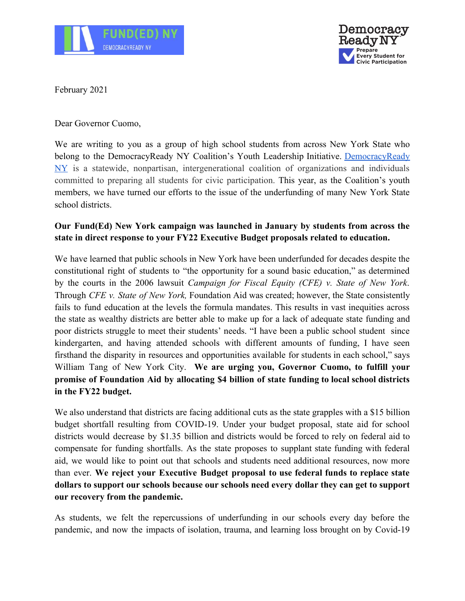



February 2021

Dear Governor Cuomo,

We are writing to you as a group of high school students from across New York State who belong to the DemocracyReady NY Coalition's Youth Leadership Initiative. [DemocracyReady](http://www.democracyreadyny.org/) [NY](http://www.democracyreadyny.org/) is a statewide, nonpartisan, intergenerational coalition of organizations and individuals committed to preparing all students for civic participation. This year, as the Coalition's youth members, we have turned our efforts to the issue of the underfunding of many New York State school districts.

## **Our Fund(Ed) New York campaign was launched in January by students from across the state in direct response to your FY22 Executive Budget proposals related to education.**

We have learned that public schools in New York have been underfunded for decades despite the constitutional right of students to "the opportunity for a sound basic education," as determined by the courts in the 2006 lawsuit *Campaign for Fiscal Equity (CFE) v. State of New York*. Through *CFE v. State of New York,* Foundation Aid was created; however, the State consistently fails to fund education at the levels the formula mandates. This results in vast inequities across the state as wealthy districts are better able to make up for a lack of adequate state funding and poor districts struggle to meet their students' needs. "I have been a public school student since kindergarten, and having attended schools with different amounts of funding, I have seen firsthand the disparity in resources and opportunities available for students in each school," says William Tang of New York City. **We are urging you, Governor Cuomo, to fulfill your promise of Foundation Aid by allocating \$4 billion of state funding to local school districts in the FY22 budget.**

We also understand that districts are facing additional cuts as the state grapples with a \$15 billion budget shortfall resulting from COVID-19. Under your budget proposal, state aid for school districts would decrease by \$1.35 billion and districts would be forced to rely on federal aid to compensate for funding shortfalls. As the state proposes to supplant state funding with federal aid, we would like to point out that schools and students need additional resources, now more than ever. **We reject your Executive Budget proposal to use federal funds to replace state dollars to support our schools because our schools need every dollar they can get to support our recovery from the pandemic.**

As students, we felt the repercussions of underfunding in our schools every day before the pandemic, and now the impacts of isolation, trauma, and learning loss brought on by Covid-19